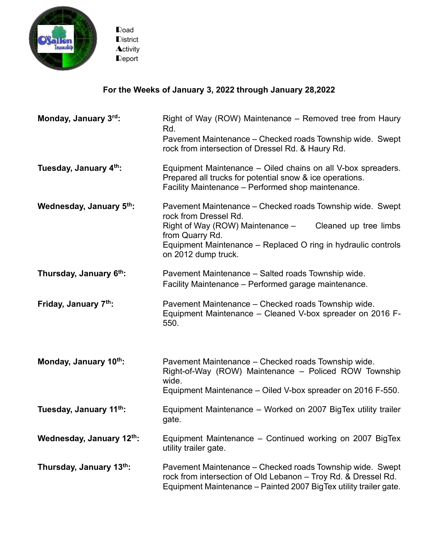

Road **District Activity** Report

## **For the Weeks of January 3, 2022 through January 28,2022**

| Monday, January 3rd:     | Right of Way (ROW) Maintenance – Removed tree from Haury<br>Rd.<br>Pavement Maintenance – Checked roads Township wide. Swept<br>rock from intersection of Dressel Rd. & Haury Rd.                                                                          |
|--------------------------|------------------------------------------------------------------------------------------------------------------------------------------------------------------------------------------------------------------------------------------------------------|
| Tuesday, January 4th:    | Equipment Maintenance – Oiled chains on all V-box spreaders.<br>Prepared all trucks for potential snow & ice operations.<br>Facility Maintenance - Performed shop maintenance.                                                                             |
| Wednesday, January 5th:  | Pavement Maintenance – Checked roads Township wide. Swept<br>rock from Dressel Rd.<br>Right of Way (ROW) Maintenance -<br>Cleaned up tree limbs<br>from Quarry Rd.<br>Equipment Maintenance – Replaced O ring in hydraulic controls<br>on 2012 dump truck. |
| Thursday, January 6th:   | Pavement Maintenance - Salted roads Township wide.<br>Facility Maintenance - Performed garage maintenance.                                                                                                                                                 |
| Friday, January 7th:     | Pavement Maintenance - Checked roads Township wide.<br>Equipment Maintenance - Cleaned V-box spreader on 2016 F-<br>550.                                                                                                                                   |
| Monday, January 10th:    | Pavement Maintenance – Checked roads Township wide.<br>Right-of-Way (ROW) Maintenance - Policed ROW Township<br>wide.<br>Equipment Maintenance – Oiled V-box spreader on 2016 F-550.                                                                       |
| Tuesday, January 11th:   | Equipment Maintenance – Worked on 2007 BigTex utility trailer<br>gate.                                                                                                                                                                                     |
| Wednesday, January 12th: | Equipment Maintenance - Continued working on 2007 BigTex<br>utility trailer gate.                                                                                                                                                                          |
| Thursday, January 13th:  | Pavement Maintenance – Checked roads Township wide. Swept<br>rock from intersection of Old Lebanon - Troy Rd. & Dressel Rd.<br>Equipment Maintenance - Painted 2007 BigTex utility trailer gate.                                                           |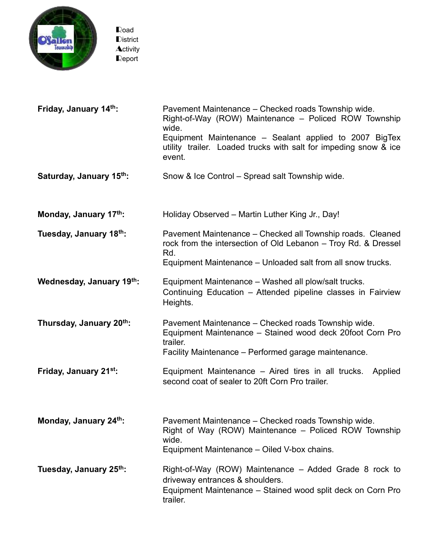

Road **District Activity** Report

| Friday, January 14th:    | Pavement Maintenance - Checked roads Township wide.<br>Right-of-Way (ROW) Maintenance – Policed ROW Township<br>wide.<br>Equipment Maintenance - Sealant applied to 2007 BigTex<br>utility trailer. Loaded trucks with salt for impeding snow & ice<br>event. |
|--------------------------|---------------------------------------------------------------------------------------------------------------------------------------------------------------------------------------------------------------------------------------------------------------|
| Saturday, January 15th:  | Snow & Ice Control – Spread salt Township wide.                                                                                                                                                                                                               |
| Monday, January 17th:    | Holiday Observed - Martin Luther King Jr., Day!                                                                                                                                                                                                               |
| Tuesday, January 18th:   | Pavement Maintenance - Checked all Township roads. Cleaned<br>rock from the intersection of Old Lebanon - Troy Rd. & Dressel<br>Rd.<br>Equipment Maintenance - Unloaded salt from all snow trucks.                                                            |
| Wednesday, January 19th: | Equipment Maintenance – Washed all plow/salt trucks.<br>Continuing Education – Attended pipeline classes in Fairview<br>Heights.                                                                                                                              |
| Thursday, January 20th:  | Pavement Maintenance - Checked roads Township wide.<br>Equipment Maintenance - Stained wood deck 20foot Corn Pro<br>trailer.<br>Facility Maintenance - Performed garage maintenance.                                                                          |
| Friday, January 21st:    | Equipment Maintenance - Aired tires in all trucks.<br>Applied<br>second coat of sealer to 20ft Corn Pro trailer.                                                                                                                                              |
| Monday, January 24th:    | Pavement Maintenance – Checked roads Township wide.<br>Right of Way (ROW) Maintenance – Policed ROW Township<br>wide.<br>Equipment Maintenance - Oiled V-box chains.                                                                                          |
| Tuesday, January 25th:   | Right-of-Way (ROW) Maintenance – Added Grade 8 rock to<br>driveway entrances & shoulders.<br>Equipment Maintenance - Stained wood split deck on Corn Pro<br>trailer.                                                                                          |